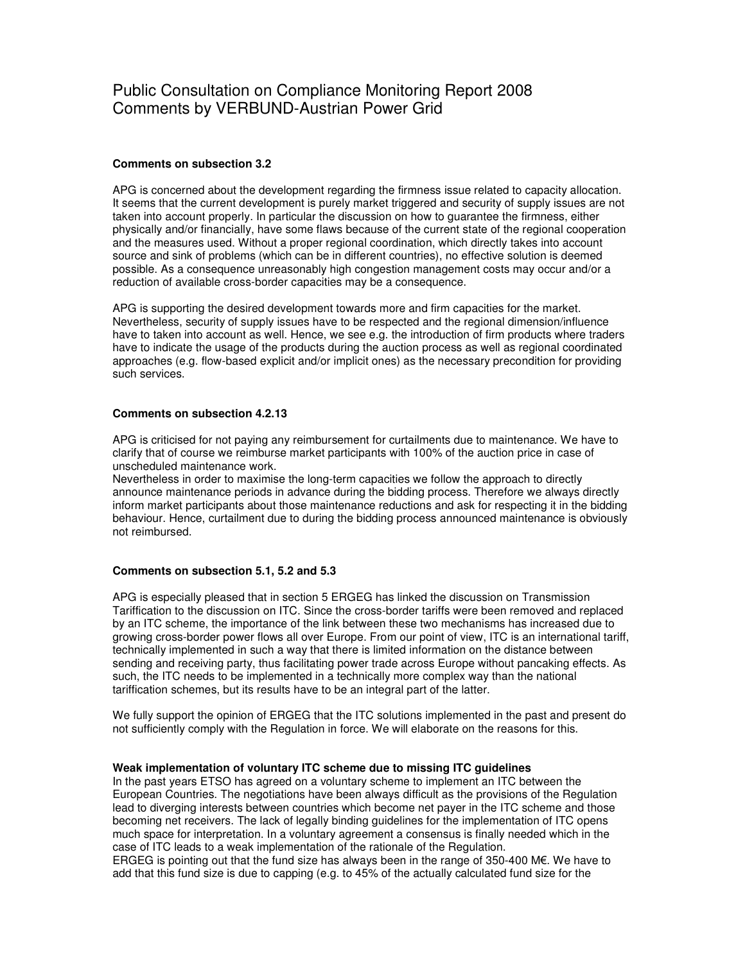# Public Consultation on Compliance Monitoring Report 2008 Comments by VERBUND-Austrian Power Grid

## **Comments on subsection 3.2**

APG is concerned about the development regarding the firmness issue related to capacity allocation. It seems that the current development is purely market triggered and security of supply issues are not taken into account properly. In particular the discussion on how to guarantee the firmness, either physically and/or financially, have some flaws because of the current state of the regional cooperation and the measures used. Without a proper regional coordination, which directly takes into account source and sink of problems (which can be in different countries), no effective solution is deemed possible. As a consequence unreasonably high congestion management costs may occur and/or a reduction of available cross-border capacities may be a consequence.

APG is supporting the desired development towards more and firm capacities for the market. Nevertheless, security of supply issues have to be respected and the regional dimension/influence have to taken into account as well. Hence, we see e.g. the introduction of firm products where traders have to indicate the usage of the products during the auction process as well as regional coordinated approaches (e.g. flow-based explicit and/or implicit ones) as the necessary precondition for providing such services.

#### **Comments on subsection 4.2.13**

APG is criticised for not paying any reimbursement for curtailments due to maintenance. We have to clarify that of course we reimburse market participants with 100% of the auction price in case of unscheduled maintenance work.

Nevertheless in order to maximise the long-term capacities we follow the approach to directly announce maintenance periods in advance during the bidding process. Therefore we always directly inform market participants about those maintenance reductions and ask for respecting it in the bidding behaviour. Hence, curtailment due to during the bidding process announced maintenance is obviously not reimbursed.

#### **Comments on subsection 5.1, 5.2 and 5.3**

APG is especially pleased that in section 5 ERGEG has linked the discussion on Transmission Tariffication to the discussion on ITC. Since the cross-border tariffs were been removed and replaced by an ITC scheme, the importance of the link between these two mechanisms has increased due to growing cross-border power flows all over Europe. From our point of view, ITC is an international tariff, technically implemented in such a way that there is limited information on the distance between sending and receiving party, thus facilitating power trade across Europe without pancaking effects. As such, the ITC needs to be implemented in a technically more complex way than the national tariffication schemes, but its results have to be an integral part of the latter.

We fully support the opinion of ERGEG that the ITC solutions implemented in the past and present do not sufficiently comply with the Regulation in force. We will elaborate on the reasons for this.

#### **Weak implementation of voluntary ITC scheme due to missing ITC guidelines**

In the past years ETSO has agreed on a voluntary scheme to implement an ITC between the European Countries. The negotiations have been always difficult as the provisions of the Regulation lead to diverging interests between countries which become net payer in the ITC scheme and those becoming net receivers. The lack of legally binding guidelines for the implementation of ITC opens much space for interpretation. In a voluntary agreement a consensus is finally needed which in the case of ITC leads to a weak implementation of the rationale of the Regulation.

ERGEG is pointing out that the fund size has always been in the range of 350-400 M $\epsilon$ . We have to add that this fund size is due to capping (e.g. to 45% of the actually calculated fund size for the